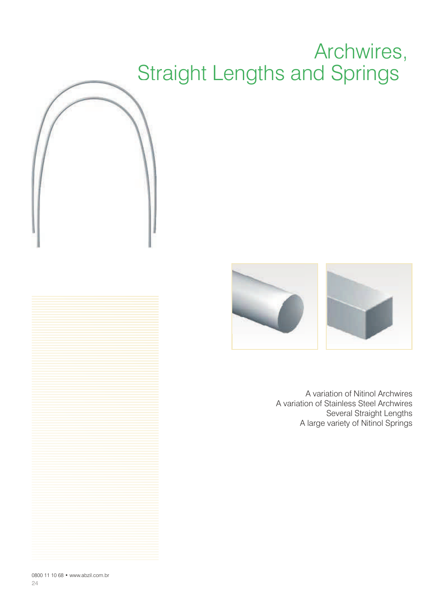## Archwires, Straight Lengths and Springs



A variation of Nitinol Archwires A variation of Stainless Steel Archwires Several Straight Lengths A large variety of Nitinol Springs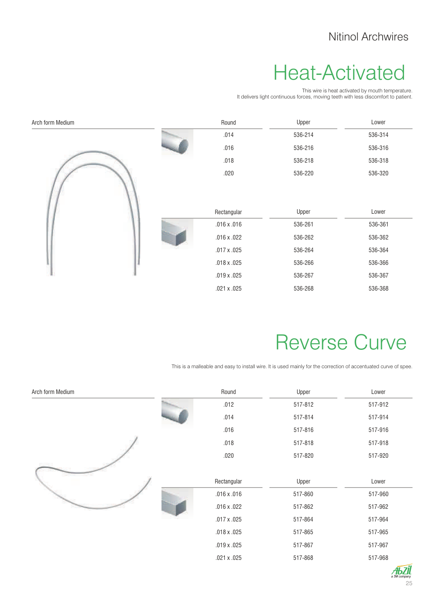#### Heat-Activated

This wire is heat activated by mouth temperature. It delivers light continuous forces, moving teeth with less discomfort to patient.

| Arch form Medium | Round              | Upper   | Lower   |
|------------------|--------------------|---------|---------|
|                  | .014               | 536-214 | 536-314 |
|                  | .016               | 536-216 | 536-316 |
|                  | .018               | 536-218 | 536-318 |
|                  | .020               | 536-220 | 536-320 |
|                  | Rectangular        | Upper   | Lower   |
|                  | $.016 \times .016$ | 536-261 | 536-361 |
|                  | $.016 \times .022$ | 536-262 | 536-362 |
|                  | .017 x .025        | 536-264 | 536-364 |
|                  | .018 x .025        | 536-266 | 536-366 |
|                  | .019 x .025        | 536-267 | 536-367 |
|                  | .021 x .025        | 536-268 | 536-368 |

#### Reverse Curve

This is a malleable and easy to install wire. It is used mainly for the correction of accentuated curve of spee.

| Arch form Medium | Round              | Upper   | Lower   |
|------------------|--------------------|---------|---------|
|                  | .012               | 517-812 | 517-912 |
|                  | .014               | 517-814 | 517-914 |
|                  | .016               | 517-816 | 517-916 |
|                  | .018               | 517-818 | 517-918 |
|                  | .020               | 517-820 | 517-920 |
|                  |                    |         |         |
|                  | Rectangular        | Upper   | Lower   |
|                  | $.016 \times .016$ | 517-860 | 517-960 |
|                  | $.016 \times .022$ | 517-862 | 517-962 |
|                  | $.017 \times .025$ | 517-864 | 517-964 |
|                  | $.018 \times .025$ | 517-865 | 517-965 |
|                  | $.019 \times .025$ | 517-867 | 517-967 |
|                  | $.021 \times .025$ | 517-868 | 517-968 |

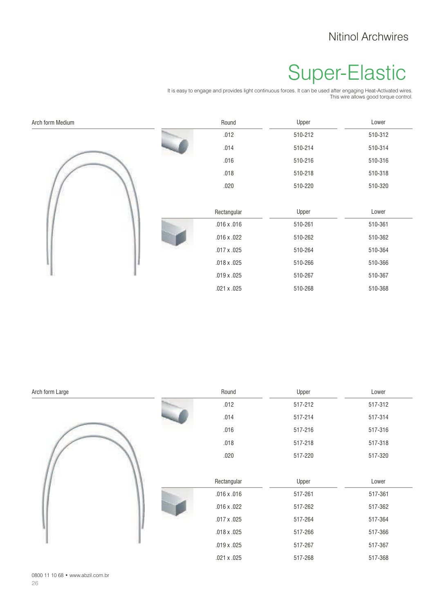#### Nitinol Archwires

## Super-Elastic

It is easy to engage and provides light continuous forces. It can be used after engaging Heat-Activated wires. This wire allows good torque control.

| Arch form Medium | Round              | Upper   | Lower   |
|------------------|--------------------|---------|---------|
|                  | .012               | 510-212 | 510-312 |
|                  | .014               | 510-214 | 510-314 |
|                  | .016               | 510-216 | 510-316 |
|                  | .018               | 510-218 | 510-318 |
|                  | .020               | 510-220 | 510-320 |
|                  |                    |         |         |
|                  | Rectangular        | Upper   | Lower   |
|                  | $.016 \times .016$ | 510-261 | 510-361 |
|                  | $.016 \times .022$ | 510-262 | 510-362 |
|                  | $.017 \times .025$ | 510-264 | 510-364 |
|                  | $.018 \times .025$ | 510-266 | 510-366 |
|                  | $.019 \times .025$ | 510-267 | 510-367 |
|                  | $.021 \times .025$ | 510-268 | 510-368 |

| Arch form Large | Round              | Upper   | Lower   |
|-----------------|--------------------|---------|---------|
|                 | .012               | 517-212 | 517-312 |
|                 | .014               | 517-214 | 517-314 |
|                 | .016               | 517-216 | 517-316 |
|                 | .018               | 517-218 | 517-318 |
|                 | .020               | 517-220 | 517-320 |
|                 | Rectangular        | Upper   | Lower   |
|                 | $.016 \times .016$ | 517-261 | 517-361 |
|                 | $.016 \times .022$ | 517-262 | 517-362 |
|                 | $.017 \times .025$ | 517-264 | 517-364 |
|                 | $.018 \times .025$ | 517-266 | 517-366 |
|                 | $.019 \times .025$ | 517-267 | 517-367 |
|                 | $.021 \times .025$ | 517-268 | 517-368 |

26 0800 11 10 68 • www.abzil.com.br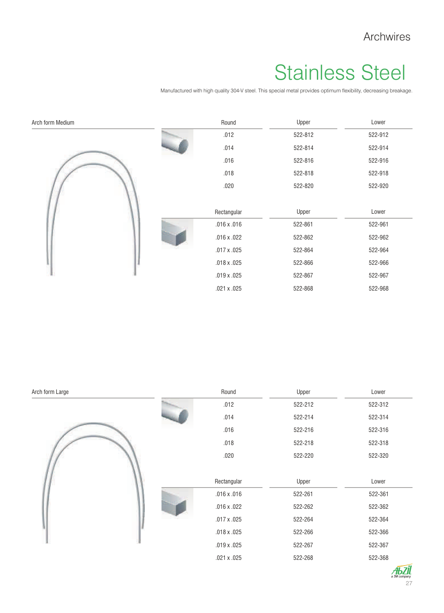#### Archwires

# Stainless Steel

Manufactured with high quality 304-V steel. This special metal provides optimum flexibility, decreasing breakage.

| Arch form Medium |  | Round              | Upper   | Lower   |
|------------------|--|--------------------|---------|---------|
|                  |  | .012               | 522-812 | 522-912 |
|                  |  | .014               | 522-814 | 522-914 |
|                  |  | .016               | 522-816 | 522-916 |
|                  |  | .018               | 522-818 | 522-918 |
|                  |  | .020               | 522-820 | 522-920 |
|                  |  |                    |         |         |
|                  |  | Rectangular        | Upper   | Lower   |
|                  |  | $.016 \times .016$ | 522-861 | 522-961 |
|                  |  | $.016 \times .022$ | 522-862 | 522-962 |
|                  |  | $.017 \times .025$ | 522-864 | 522-964 |
|                  |  | $.018 \times .025$ | 522-866 | 522-966 |
|                  |  | $.019 \times .025$ | 522-867 | 522-967 |
|                  |  | .021 x .025        | 522-868 | 522-968 |

| Arch form Large |  | Round              | Upper   | Lower   |
|-----------------|--|--------------------|---------|---------|
|                 |  | .012               | 522-212 | 522-312 |
|                 |  | .014               | 522-214 | 522-314 |
|                 |  | .016               | 522-216 | 522-316 |
|                 |  | .018               | 522-218 | 522-318 |
|                 |  | .020               | 522-220 | 522-320 |
|                 |  |                    |         |         |
|                 |  | Rectangular        | Upper   | Lower   |
|                 |  | $.016 \times .016$ | 522-261 | 522-361 |
|                 |  | $.016 \times .022$ | 522-262 | 522-362 |
|                 |  | $.017 \times .025$ | 522-264 | 522-364 |
|                 |  | $.018 \times .025$ | 522-266 | 522-366 |
|                 |  | $.019 \times .025$ | 522-267 | 522-367 |
|                 |  | .021 x .025        | 522-268 | 522-368 |

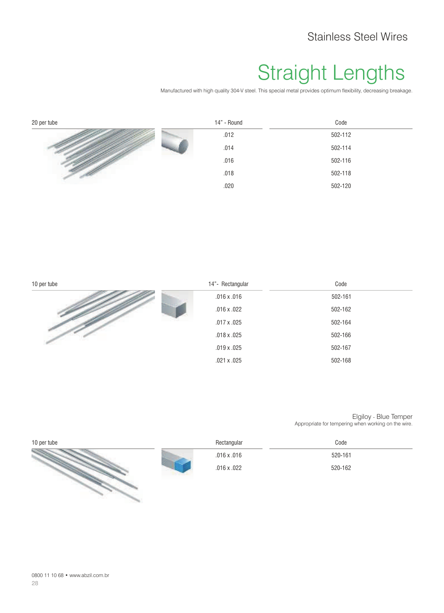#### Straight Lengths

Manufactured with high quality 304-V steel. This special metal provides optimum flexibility, decreasing breakage.

| 20 per tube | 14" - Round | Code    |
|-------------|-------------|---------|
|             | .012        | 502-112 |
|             | .014        | 502-114 |
|             | .016        | 502-116 |
|             | .018        | 502-118 |
|             | .020        | 502-120 |

| 10 per tube | 14"- Rectangular   | Code    |
|-------------|--------------------|---------|
|             | $.016 \times .016$ | 502-161 |
|             | $.016 \times .022$ | 502-162 |
|             | $.017 \times .025$ | 502-164 |
|             | $.018 \times .025$ | 502-166 |
|             | $.019 \times .025$ | 502-167 |
|             | $.021 \times .025$ | 502-168 |

Elgiloy - Blue Temper Appropriate for tempering when working on the wire.

| 10 per tube | Rectangular        | Code    |
|-------------|--------------------|---------|
|             | $.016 \times .016$ | 520-161 |
|             | $.016 \times .022$ | 520-162 |
|             |                    |         |
|             |                    |         |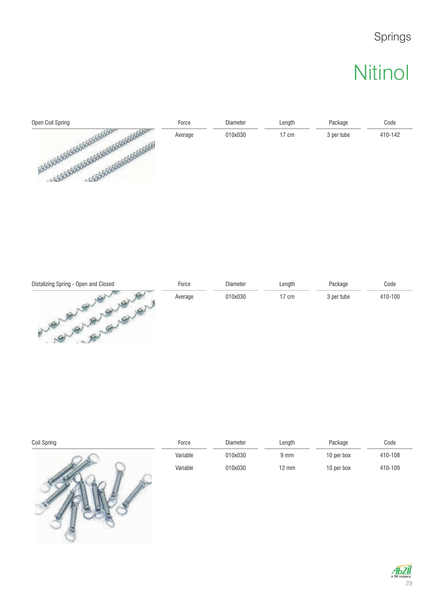#### Springs

## **Nitinol**

| Open Coil Spring | Force   | Diameter | Length | Package    | Code    |
|------------------|---------|----------|--------|------------|---------|
| <b>GSIGLOV</b>   | Average | 010x030  | 17 cm  | 3 per tube | 410-142 |

| Distalizing Spring - Open and Closed | Force   | Diameter | Length          | Package    | Code    |
|--------------------------------------|---------|----------|-----------------|------------|---------|
|                                      | Average | 010x030  | $17 \text{ cm}$ | 3 per tube | 410-100 |

| Coil Spring | Force    | Diameter | Length           | Package    | Code    |
|-------------|----------|----------|------------------|------------|---------|
|             | Variable | 010x030  | $9 \, \text{mm}$ | 10 per box | 410-108 |
|             | Variable | 010x030  | $12 \text{ mm}$  | 10 per box | 410-109 |

PRAC

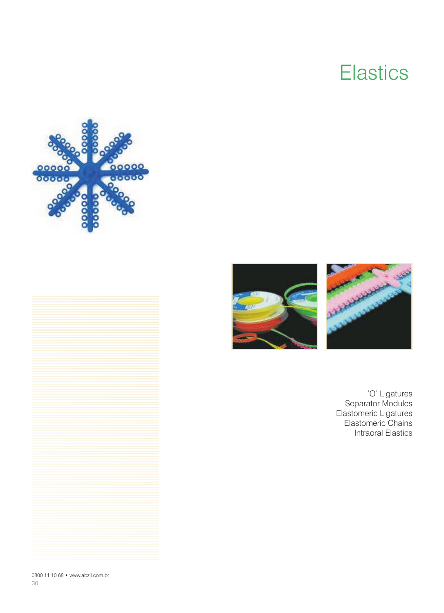#### **Elastics**









'O' Ligatures Separator Modules Elastomeric Ligatures Elastomeric Chains Intraoral Elastics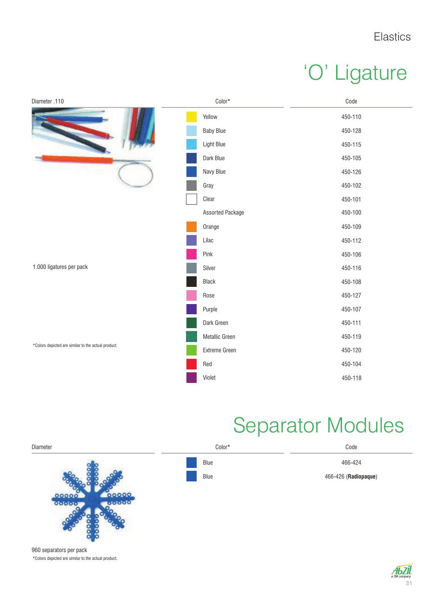# 'O' Ligature



#### Separator Modules



960 separators per pack \*Colors depicted are similar to the actual product.

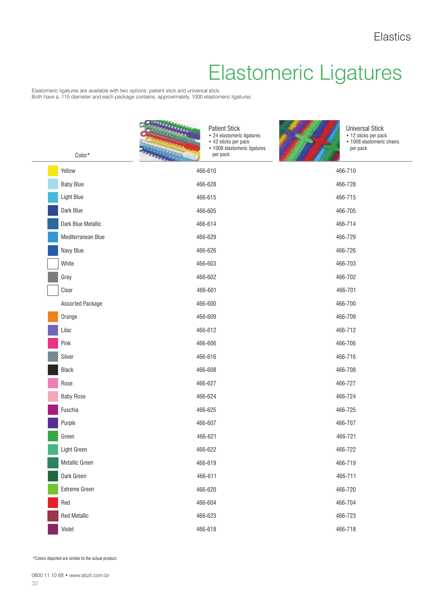# Elastomeric Ligatures

Elastomeric ligatures are available with two options: patient stick and universal stick. Both have a .115 diameter and each package contains, approximately, 1000 elastomeric ligatures.

| $Color*$            | <b>Patient Stick</b><br>• 24 elastomeric ligatures<br>• 42 sticks per pack<br>• 1008 elastomeric ligatures<br>per pack | <b>Universal Stick</b><br>• 12 sticks per pack<br>• 1008 elastomeric chains<br>per pack |
|---------------------|------------------------------------------------------------------------------------------------------------------------|-----------------------------------------------------------------------------------------|
| Yellow              | 466-610                                                                                                                | 466-710                                                                                 |
| <b>Baby Blue</b>    | 466-628                                                                                                                | 466-728                                                                                 |
| Light Blue          | 466-615                                                                                                                | 466-715                                                                                 |
| Dark Blue           | 466-605                                                                                                                | 466-705                                                                                 |
| Dark Blue Metallic  | 466-614                                                                                                                | 466-714                                                                                 |
| Mediterranean Blue  | 466-629                                                                                                                | 466-729                                                                                 |
| Navy Blue           | 466-626                                                                                                                | 466-726                                                                                 |
| White               | 466-603                                                                                                                | 466-703                                                                                 |
| Gray                | 466-602                                                                                                                | 466-702                                                                                 |
| Clear               | 466-601                                                                                                                | 466-701                                                                                 |
| Assorted Package    | 466-600                                                                                                                | 466-700                                                                                 |
| Orange              | 466-609                                                                                                                | 466-709                                                                                 |
| Lilac               | 466-612                                                                                                                | 466-712                                                                                 |
| Pink                | 466-606                                                                                                                | 466-706                                                                                 |
| Silver              | 466-616                                                                                                                | 466-716                                                                                 |
| Black               | 466-608                                                                                                                | 466-708                                                                                 |
| Rose                | 466-627                                                                                                                | 466-727                                                                                 |
| <b>Baby Rose</b>    | 466-624                                                                                                                | 466-724                                                                                 |
| Fuschia             | 466-625                                                                                                                | 466-725                                                                                 |
| Purple              | 466-607                                                                                                                | 466-707                                                                                 |
| Green               | 466-621                                                                                                                | 466-721                                                                                 |
| Light Green         | 466-622                                                                                                                | 466-722                                                                                 |
| Metallic Green      | 466-619                                                                                                                | 466-719                                                                                 |
| Dark Green          | 466-611                                                                                                                | 466-711                                                                                 |
| Extreme Green       | 466-620                                                                                                                | 466-720                                                                                 |
| Red                 | 466-604                                                                                                                | 466-704                                                                                 |
| <b>Red Metallic</b> | 466-623                                                                                                                | 466-723                                                                                 |
| Violet              | 466-618                                                                                                                | 466-718                                                                                 |

\*Colors depicted are similar to the actual product.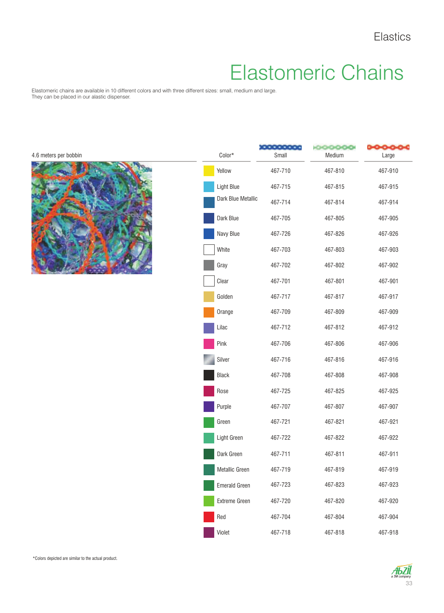#### Elastomeric Chains

Elastomeric chains are available in 10 different colors and with three different sizes: small, medium and large. They can be placed in our alastic dispenser.

| 4.6 meters per bobbin | Color*               | Small   | 000000<br>Medium | ⊶⊶⊶<br>Large |
|-----------------------|----------------------|---------|------------------|--------------|
|                       | Yellow               | 467-710 | 467-810          | 467-910      |
|                       | Light Blue           | 467-715 | 467-815          | 467-915      |
|                       | Dark Blue Metallic   | 467-714 | 467-814          | 467-914      |
|                       | Dark Blue            | 467-705 | 467-805          | 467-905      |
|                       | Navy Blue            | 467-726 | 467-826          | 467-926      |
|                       | White                | 467-703 | 467-803          | 467-903      |
|                       | Gray                 | 467-702 | 467-802          | 467-902      |
|                       | Clear                | 467-701 | 467-801          | 467-901      |
|                       | Golden               | 467-717 | 467-817          | 467-917      |
|                       | Orange               | 467-709 | 467-809          | 467-909      |
|                       | Lilac                | 467-712 | 467-812          | 467-912      |
|                       | Pink                 | 467-706 | 467-806          | 467-906      |
|                       | Silver               | 467-716 | 467-816          | 467-916      |
|                       | Black                | 467-708 | 467-808          | 467-908      |
|                       | Rose                 | 467-725 | 467-825          | 467-925      |
|                       | Purple               | 467-707 | 467-807          | 467-907      |
|                       | Green                | 467-721 | 467-821          | 467-921      |
|                       | Light Green          | 467-722 | 467-822          | 467-922      |
|                       | Dark Green           | 467-711 | 467-811          | 467-911      |
|                       | Metallic Green       | 467-719 | 467-819          | 467-919      |
|                       | <b>Emerald Green</b> | 467-723 | 467-823          | 467-923      |
|                       | Extreme Green        | 467-720 | 467-820          | 467-920      |
|                       | Red                  | 467-704 | 467-804          | 467-904      |
|                       | Violet               | 467-718 | 467-818          | 467-918      |

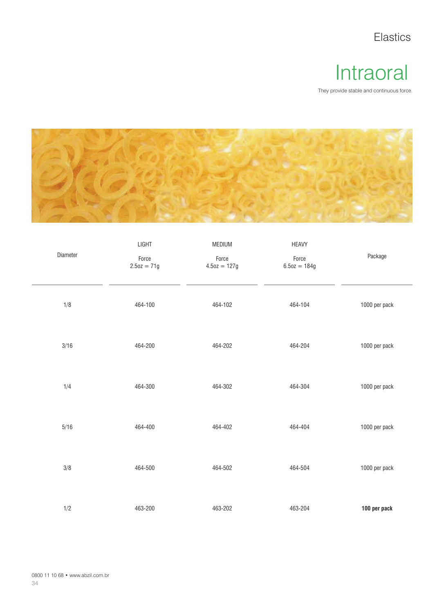Elastics

#### Intraoral

They provide stable and continuous force.



| Diameter | LIGHT<br>Force<br>$2.5oz = 71g$ | MEDIUM<br>Force<br>$4.5oz = 127g$ | <b>HEAVY</b><br>Force<br>$6.5oz = 184g$ | Package       |
|----------|---------------------------------|-----------------------------------|-----------------------------------------|---------------|
| 1/8      | 464-100                         | 464-102                           | 464-104                                 | 1000 per pack |
| 3/16     | 464-200                         | 464-202                           | 464-204                                 | 1000 per pack |
| 1/4      | 464-300                         | 464-302                           | 464-304                                 | 1000 per pack |
| $5/16$   | 464-400                         | 464-402                           | 464-404                                 | 1000 per pack |
| $3/8$    | 464-500                         | 464-502                           | 464-504                                 | 1000 per pack |
| 1/2      | 463-200                         | 463-202                           | 463-204                                 | 100 per pack  |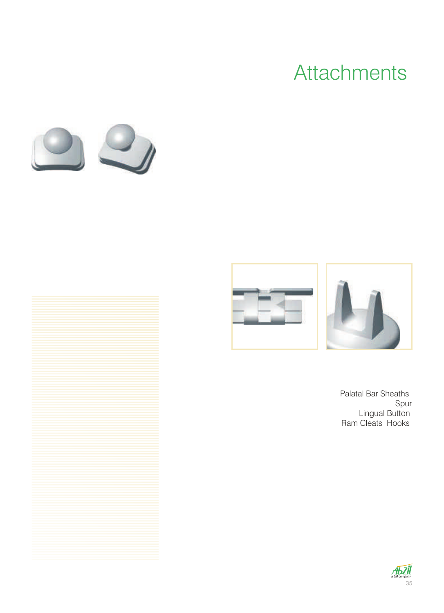## **Attachments**





Palatal Bar Sheaths Spur Lingual Button Ram Cleats Hooks

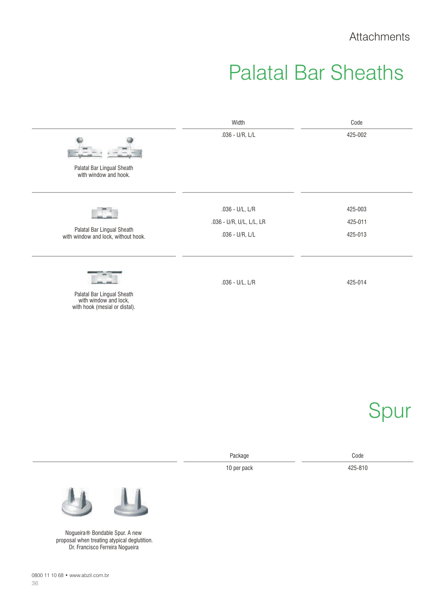#### Palatal Bar Sheaths

| Width                    | Code    |
|--------------------------|---------|
| $.036 - U/R, L/L$        | 425-002 |
|                          |         |
| $.036 - U/L, L/R$        | 425-003 |
| .036 - U/R, U/L, L/L, LR | 425-011 |
| $.036 - U/R, L/L$        | 425-013 |
| $.036 - U/L, L/R$        | 425-014 |
|                          |         |
|                          |         |

10 per pack

Spur

425-810 Package Code



Nogueira® Bondable Spur. A new proposal when treating atypical deglutition. Dr. Francisco Ferreira Nogueira